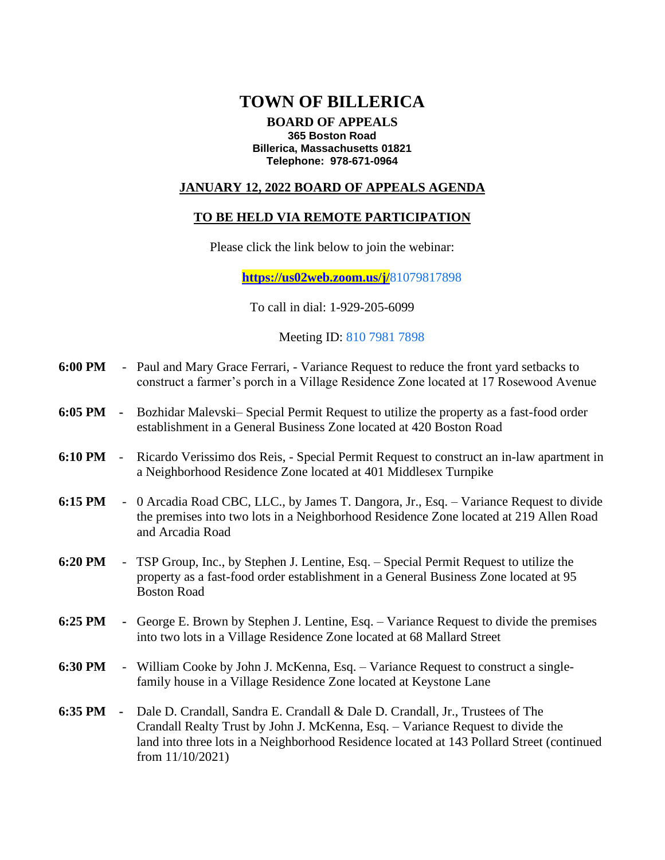# **TOWN OF BILLERICA**

#### **BOARD OF APPEALS 365 Boston Road Billerica, Massachusetts 01821 Telephone: 978-671-0964**

### **JANUARY 12, 2022 BOARD OF APPEALS AGENDA**

### **TO BE HELD VIA REMOTE PARTICIPATION**

Please click the link below to join the webinar:

**[https://us02web.zoom.us/j/](https://us02web.zoom.us/j/88434929598)**81079817898

To call in dial: 1-929-205-6099

Meeting ID: 810 7981 7898

- **6:00 PM** Paul and Mary Grace Ferrari, Variance Request to reduce the front yard setbacks to construct a farmer's porch in a Village Residence Zone located at 17 Rosewood Avenue
- **6:05 PM -** Bozhidar Malevski– Special Permit Request to utilize the property as a fast-food order establishment in a General Business Zone located at 420 Boston Road
- **6:10 PM** Ricardo Verissimo dos Reis, Special Permit Request to construct an in-law apartment in a Neighborhood Residence Zone located at 401 Middlesex Turnpike
- **6:15 PM** 0 Arcadia Road CBC, LLC., by James T. Dangora, Jr., Esq. Variance Request to divide the premises into two lots in a Neighborhood Residence Zone located at 219 Allen Road and Arcadia Road
- **6:20 PM** TSP Group, Inc., by Stephen J. Lentine, Esq. Special Permit Request to utilize the property as a fast-food order establishment in a General Business Zone located at 95 Boston Road
- **6:25 PM -** George E. Brown by Stephen J. Lentine, Esq. Variance Request to divide the premises into two lots in a Village Residence Zone located at 68 Mallard Street
- **6:30 PM** William Cooke by John J. McKenna, Esq. Variance Request to construct a singlefamily house in a Village Residence Zone located at Keystone Lane
- **6:35 PM -** Dale D. Crandall, Sandra E. Crandall & Dale D. Crandall, Jr., Trustees of The Crandall Realty Trust by John J. McKenna, Esq. – Variance Request to divide the land into three lots in a Neighborhood Residence located at 143 Pollard Street (continued from 11/10/2021)